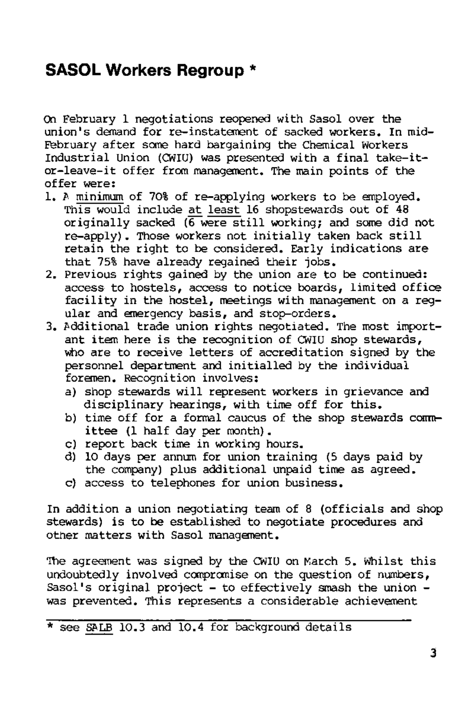# **SASOL Workers Regroup \***

*On* February 1 negotiations reopened with Sasol over the union's demand for re-instatement of sacked workers. In mid-Eebruary after some hard bargaining the Chemical Workers Industrial Union (CWIU) was presented with a final take-itor-leave-it offer from management. The main points of the offer were:

- 1. A minimum of 70% of re-applying workers to be employed. This would include at least 16 shopstewards out of 48 originally sacked (6 were still working; and some did not re-apply). Those workers not initially taken back still retain the right to be considered. Early indications are that 75% have already regained their jobs.
- 2. Previous rights gained by the union are to be continued: access to hostels, access to notice boards, limited office facility in the hostel, meetings with management on a regular and emergency basis, and stop-orders.
- 3. additional trade union rights negotiated. The most important item here is the recognition of CWIU shop stewards, who are to receive letters of accreditation signed by the personnel department and initialled by the individual foremen. Recognition involves:
	- a) shop stewards will represent workers in grievance and disciplinary hearings, with time off for this.
	- b) time off for a formal caucus of the shop stewards committee (1 half day per month).
	- c) report back time in working hours.
	- d) 10 days per annum for union training (5 days paid by the company) plus additional unpaid time as agreed.
	- c) access to telephones for union business.

In addition a union negotiating team of 8 (officials and shop stewards) is to be established to negotiate procedures and

#### other matters with Sasol management.

The agreement was signed by the CWIU on March 5. Whilst this undoubtedly involved compromise on the question of numbers, Sasol's original project  $-$  to effectively smash the union  $$ was prevented. This represents a considerable achievement

\* see SALB 10.3 and 10.4 for background details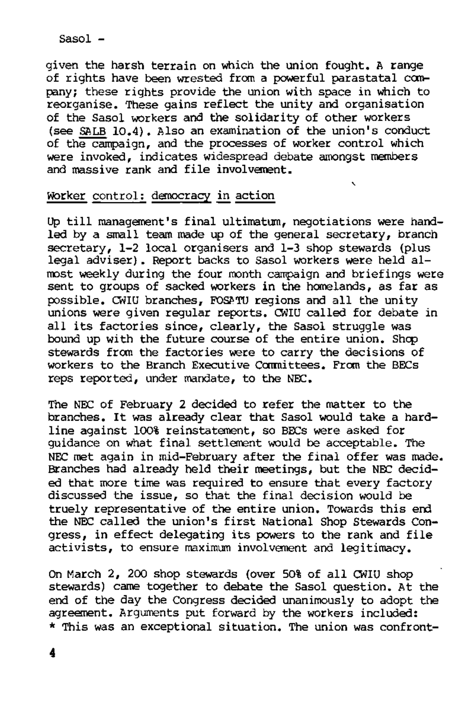given the harsh terrain on which the union fought. A range of rights have been wrested from a powerful parastatal company; these rights provide the union with space in which to reorganise. These gains reflect the unity and organisation of the Sasol workers and the solidarity of other workers (see SALB 10.4). Also an examination of the union's conduct of the campaign, and the processes of worker control which were invoked, indicates widespread debate amongst members and massive rank and file involvement.

## Worker control: democracy in action

Up till management's final ultimatum, negotiations were handled by a small team made up of the general secretary, branch secretary, 1-2 local organisers and 1-3 shop stewards (plus legal adviser). Report backs to Sasol workers were held almost weekly during the four month campaign and briefings were sent to groups of sacked workers in the homelands, as far as possible. CWIU branches, FOSPTU regions and all the unity unions were given regular reports. CWIU called for debate in all its factories since, clearly, the Sasol struggle was bound up with the future course of the entire union. Shcp stewards from the factories were to carry the decisions of workers to the Branch Executive Committees. From the BECs reps reported, under mandate, to the NEC.

The NEC of February 2 decided to refer the matter to the branches. It was already clear that Sasol would take a hardline against 100% reinstatement, so BECs were asked for guidance on what final settlement would be acceptable. The NEC met again in mid-February after the final offer was made. Branches had already held their meetings, but the NEC decided that more time was required to ensure that every factory discussed the issue, so that the final decision would be truely representative of the entire union. Towards this end the NEC called the union's first National Shop Stewards Congress, in effect delegating its powers to the rank and file activists, to ensure maximum involvement and legitimacy.

On March 2, 200 shop stewards (over 50% of all CWIU shop stewards) came together to debate the Sasol question. At the end of the day the Congress decided unanimously to adopt the agreement. Arguments put forward by the workers included: \* This was an exceptional situation. The union was confront-

 $Saso1 -$ 

4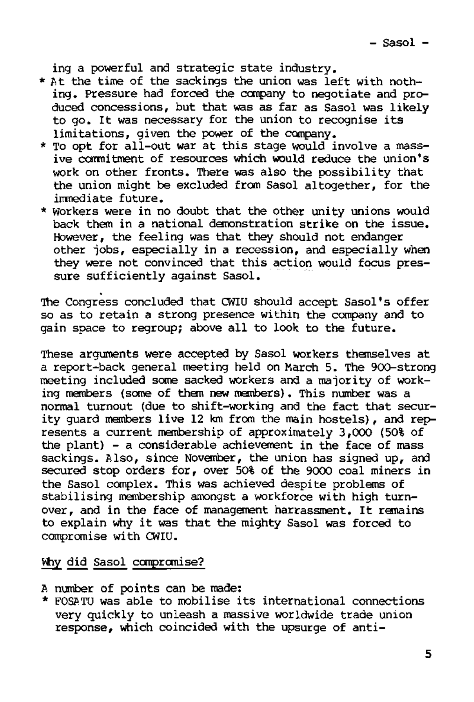ing a powerful and strategic state industry,

- \* at the time of the sackings the union was left with nothing. Pressure had forced the company to negotiate and produced concessions, but that was as far as Sasol was likely to go. It was necessary for the union to recognise its limitations, given the power of the company.
- \* To opt for all-out war at this stage would involve a massive commitment of resources which would reduce the union's work on other fronts. There was also the possibility that the union might be excluded from Sasol altogether, for the immediate future.
- \* Workers were in no doubt that the other unity unions would back them in a national demonstration strike on the issue. However, the feeling was that they should not endanger other jobs, especially in a recession, and especially when they were not convinced that this action would focus pressure sufficiently against Sasol.

These arguments were accepted by Sasol workers themselves at a report-back general meeting held on March 5. The 900-strong meeting included some sacked workers and a majority of working members (some of them new members). This number was a normal turnout (due to shift-working and the fact that security guard members live 12 km from the main hostels), and represents a current membership of approximately 3,000 (50% of the plant) - a considerable achievement in the face of mass sackings. Also, since November, the union has signed up, and secured stop orders for, over 50% of the 9000 coal miners in the Sasol complex. This was achieved despite problems of stabilising membership amongst a workforce with high turnover, and in the face of management harrassment. It remains to explain why it was that the mighty Sasol was forced to co explain why it was a

Why did Sasol compromise?

The Congress concluded that CWIU should accept Sasol's offer so as to retain a strong presence within the company and to gain space to regroup; above all to look to the future.

- A number of points can be made:
- \* FOSATU was able to mobilise its international connections very quickly to unleash a massive worldwide trade union response, which coincided with the upsurge of anti-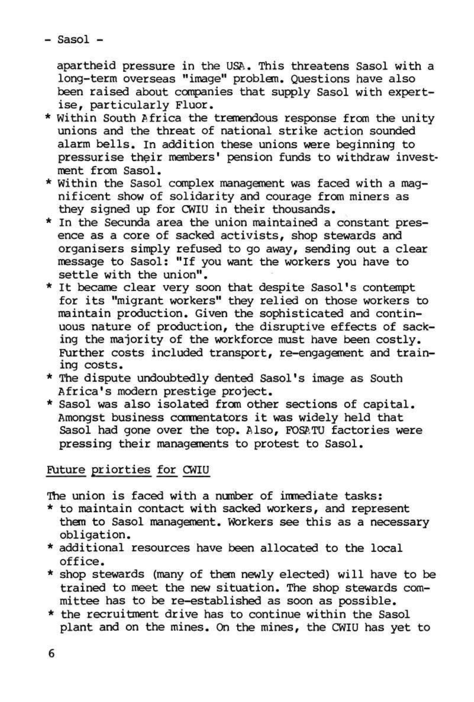- Sasol -

apartheid pressure in the USA. This threatens Sasol with a long-term overseas "image" problem. Questions have also been raised about companies that supply Sasol with expertise, particularly Fluor,

- \* Within South Africa the tremendous response from the unity unions and the threat of national strike action sounded alarm bells. In addition these unions were beginning to pressurise their members' pension funds to withdraw investment from Sasol.
- \* Within the Sasol complex management was faced with a magnificent show of solidarity and courage from miners as they signed up for CWIU in their thousands.
- \* In the Secunda area the union maintained a constant presence as a core of sacked activists, shop stewards and organisers simply refused to go away, sending out a clear message to Sasol: "If you want the workers you have to settle with the union".
- \* It became clear very soon that despite Sasol's contempt for its "migrant workers" they relied on those workers to maintain production. Given the sophisticated and continuous nature of production, the disruptive effects of sacking the majority of the workforce must have been costly. Further costs included transport, re-engagement and training costs.
- \* The dispute undoubtedly dented Sasol's image as South Africa's modern prestige project.
- \* Sasol was also isolated from other sections of capital. Amongst business commentators it was widely held that Sasol had gone over the top. Also, FOSATU factories were pressing their managements to protest to Sasol.

## Future priorties for CWIU

The union is faced with a number of immediate tasks:

- \* to maintain contact with sacked workers, and represent them to Sasol management. Workers see this as a necessary obligation.
- \* additional resources have been allocated to the local office.
- \* shop stewards (many of them newly elected) will have to be trained to meet the new situation. The shop stewards committee has to be re-established as soon as possible.
- \* the recruitment drive has to continue within the Sasol plant and on the mines. On the mines, the CWIU has yet to